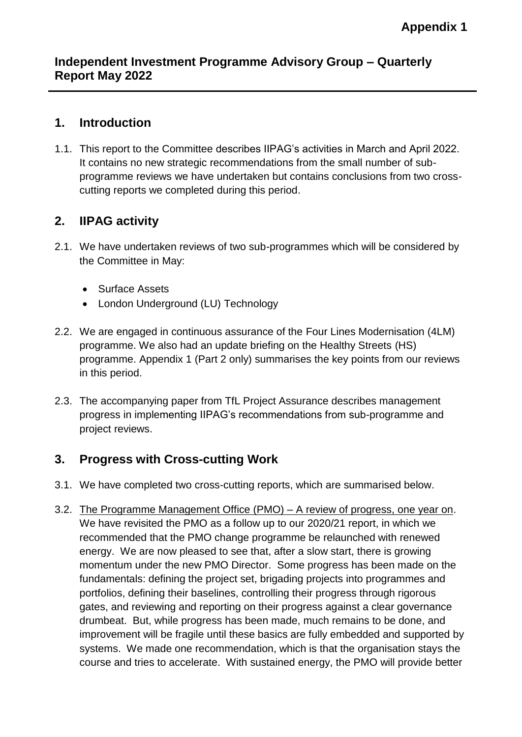#### **Independent Investment Programme Advisory Group – Quarterly Report May 2022**

## **1. Introduction**

1.1. This report to the Committee describes IIPAG's activities in March and April 2022. It contains no new strategic recommendations from the small number of subprogramme reviews we have undertaken but contains conclusions from two crosscutting reports we completed during this period.

# **2. IIPAG activity**

- 2.1. We have undertaken reviews of two sub-programmes which will be considered by the Committee in May:
	- Surface Assets
	- London Underground (LU) Technology
- 2.2. We are engaged in continuous assurance of the Four Lines Modernisation (4LM) programme. We also had an update briefing on the Healthy Streets (HS) programme. Appendix 1 (Part 2 only) summarises the key points from our reviews in this period.
- 2.3. The accompanying paper from TfL Project Assurance describes management progress in implementing IIPAG's recommendations from sub-programme and project reviews.

### **3. Progress with Cross-cutting Work**

- 3.1. We have completed two cross-cutting reports, which are summarised below.
- 3.2. The Programme Management Office (PMO) A review of progress, one year on. We have revisited the PMO as a follow up to our 2020/21 report, in which we recommended that the PMO change programme be relaunched with renewed energy. We are now pleased to see that, after a slow start, there is growing momentum under the new PMO Director. Some progress has been made on the fundamentals: defining the project set, brigading projects into programmes and portfolios, defining their baselines, controlling their progress through rigorous gates, and reviewing and reporting on their progress against a clear governance drumbeat. But, while progress has been made, much remains to be done, and improvement will be fragile until these basics are fully embedded and supported by systems. We made one recommendation, which is that the organisation stays the course and tries to accelerate. With sustained energy, the PMO will provide better